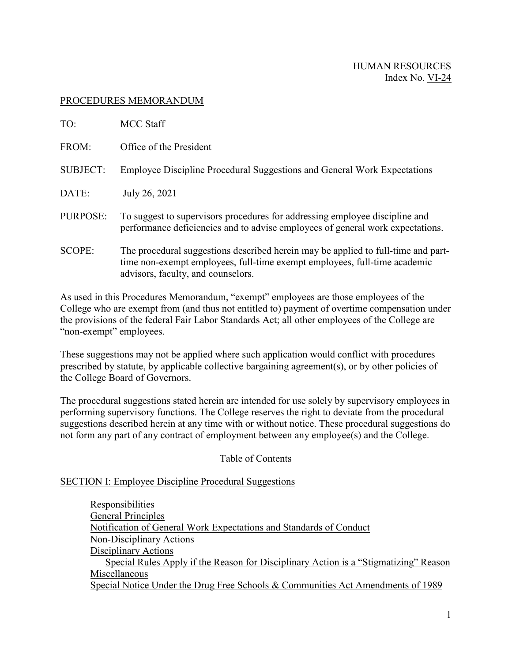### PROCEDURES MEMORANDUM

| TO:             | <b>MCC Staff</b>                                                                                                                                                                                     |
|-----------------|------------------------------------------------------------------------------------------------------------------------------------------------------------------------------------------------------|
| FROM:           | Office of the President                                                                                                                                                                              |
| <b>SUBJECT:</b> | Employee Discipline Procedural Suggestions and General Work Expectations                                                                                                                             |
| DATE:           | July 26, 2021                                                                                                                                                                                        |
| PURPOSE:        | To suggest to supervisors procedures for addressing employee discipline and<br>performance deficiencies and to advise employees of general work expectations.                                        |
| <b>SCOPE:</b>   | The procedural suggestions described herein may be applied to full-time and part-<br>time non-exempt employees, full-time exempt employees, full-time academic<br>advisors, faculty, and counselors. |

As used in this Procedures Memorandum, "exempt" employees are those employees of the College who are exempt from (and thus not entitled to) payment of overtime compensation under the provisions of the federal Fair Labor Standards Act; all other employees of the College are "non-exempt" employees.

These suggestions may not be applied where such application would conflict with procedures prescribed by statute, by applicable collective bargaining agreement(s), or by other policies of the College Board of Governors.

The procedural suggestions stated herein are intended for use solely by supervisory employees in performing supervisory functions. The College reserves the right to deviate from the procedural suggestions described herein at any time with or without notice. These procedural suggestions do not form any part of any contract of employment between any employee(s) and the College.

## Table of Contents

## SECTION I: Employee Discipline Procedural Suggestions

[Responsibilities](http://www.mccneb.edu/procedures/VI-24_Discipline_and_Work_Exp.htm#IA1#IA1) [General Principles](http://www.mccneb.edu/procedures/VI-24_Discipline_and_Work_Exp.htm#IA2#IA2) [Notification of General Work Expectations and Standards of Conduct](http://www.mccneb.edu/procedures/VI-24_Discipline_and_Work_Exp.htm#IA3#IA3) [Non-Disciplinary Actions](http://www.mccneb.edu/procedures/VI-24_Discipline_and_Work_Exp.htm#IA4#IA4) [Disciplinary Actions](http://www.mccneb.edu/procedures/VI-24_Discipline_and_Work_Exp.htm#IA5#IA5) Special Rules Apply if the Reason for Disciplinary Action is a "Stigmatizing" Reason [Miscellaneous](http://www.mccneb.edu/procedures/VI-24_Discipline_and_Work_Exp.htm#IA6#IA6) [Special Notice Under the Drug Free Schools & Communities Act Amendments of 1989](http://www.mccneb.edu/procedures/VI-24_Discipline_and_Work_Exp.htm#IA7#IA7)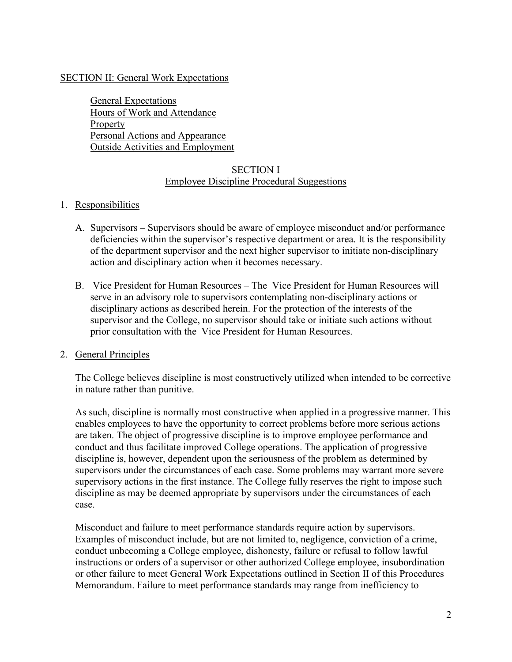### SECTION II: General Work Expectations

[General Expectations](http://www.mccneb.edu/procedures/VI-24_Discipline_and_Work_Exp.htm#II1#II1) [Hours of Work and Attendance](http://www.mccneb.edu/procedures/VI-24_Discipline_and_Work_Exp.htm#II2#II2) [Property](http://www.mccneb.edu/procedures/VI-24_Discipline_and_Work_Exp.htm#II3#II3) [Personal Actions and Appearance](http://www.mccneb.edu/procedures/VI-24_Discipline_and_Work_Exp.htm#II4#II4) [Outside Activities and Employment](http://www.mccneb.edu/procedures/VI-24_Discipline_and_Work_Exp.htm#II5#II5)

## SECTION I Employee Discipline Procedural Suggestions

### 1. Responsibilities

- A. Supervisors Supervisors should be aware of employee misconduct and/or performance deficiencies within the supervisor's respective department or area. It is the responsibility of the department supervisor and the next higher supervisor to initiate non-disciplinary action and disciplinary action when it becomes necessary.
- B. Vice President for Human Resources The Vice President for Human Resources will serve in an advisory role to supervisors contemplating non-disciplinary actions or disciplinary actions as described herein. For the protection of the interests of the supervisor and the College, no supervisor should take or initiate such actions without prior consultation with the Vice President for Human Resources.

#### 2. General Principles

The College believes discipline is most constructively utilized when intended to be corrective in nature rather than punitive.

As such, discipline is normally most constructive when applied in a progressive manner. This enables employees to have the opportunity to correct problems before more serious actions are taken. The object of progressive discipline is to improve employee performance and conduct and thus facilitate improved College operations. The application of progressive discipline is, however, dependent upon the seriousness of the problem as determined by supervisors under the circumstances of each case. Some problems may warrant more severe supervisory actions in the first instance. The College fully reserves the right to impose such discipline as may be deemed appropriate by supervisors under the circumstances of each case.

Misconduct and failure to meet performance standards require action by supervisors. Examples of misconduct include, but are not limited to, negligence, conviction of a crime, conduct unbecoming a College employee, dishonesty, failure or refusal to follow lawful instructions or orders of a supervisor or other authorized College employee, insubordination or other failure to meet General Work Expectations outlined in Section II of this Procedures Memorandum. Failure to meet performance standards may range from inefficiency to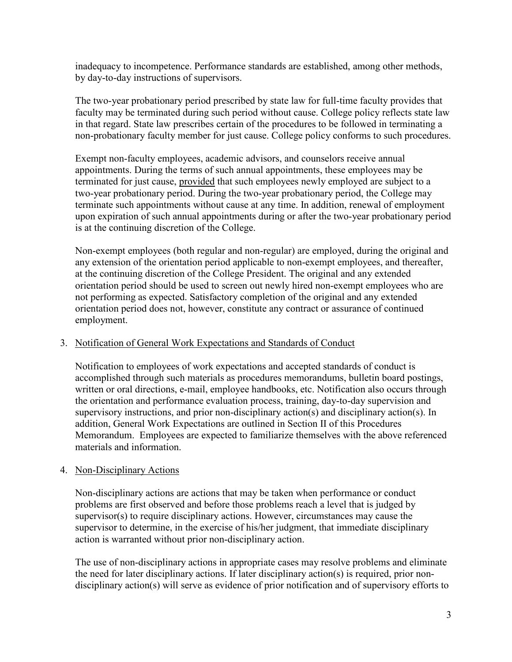inadequacy to incompetence. Performance standards are established, among other methods, by day-to-day instructions of supervisors.

The two-year probationary period prescribed by state law for full-time faculty provides that faculty may be terminated during such period without cause. College policy reflects state law in that regard. State law prescribes certain of the procedures to be followed in terminating a non-probationary faculty member for just cause. College policy conforms to such procedures.

Exempt non-faculty employees, academic advisors, and counselors receive annual appointments. During the terms of such annual appointments, these employees may be terminated for just cause, provided that such employees newly employed are subject to a two-year probationary period. During the two-year probationary period, the College may terminate such appointments without cause at any time. In addition, renewal of employment upon expiration of such annual appointments during or after the two-year probationary period is at the continuing discretion of the College.

Non-exempt employees (both regular and non-regular) are employed, during the original and any extension of the orientation period applicable to non-exempt employees, and thereafter, at the continuing discretion of the College President. The original and any extended orientation period should be used to screen out newly hired non-exempt employees who are not performing as expected. Satisfactory completion of the original and any extended orientation period does not, however, constitute any contract or assurance of continued employment.

## 3. Notification of General Work Expectations and Standards of Conduct

Notification to employees of work expectations and accepted standards of conduct is accomplished through such materials as procedures memorandums, bulletin board postings, written or oral directions, e-mail, employee handbooks, etc. Notification also occurs through the orientation and performance evaluation process, training, day-to-day supervision and supervisory instructions, and prior non-disciplinary action(s) and disciplinary action(s). In addition, General Work Expectations are outlined in Section II of this Procedures Memorandum. Employees are expected to familiarize themselves with the above referenced materials and information.

#### 4. Non-Disciplinary Actions

Non-disciplinary actions are actions that may be taken when performance or conduct problems are first observed and before those problems reach a level that is judged by supervisor(s) to require disciplinary actions. However, circumstances may cause the supervisor to determine, in the exercise of his/her judgment, that immediate disciplinary action is warranted without prior non-disciplinary action.

The use of non-disciplinary actions in appropriate cases may resolve problems and eliminate the need for later disciplinary actions. If later disciplinary action(s) is required, prior nondisciplinary action(s) will serve as evidence of prior notification and of supervisory efforts to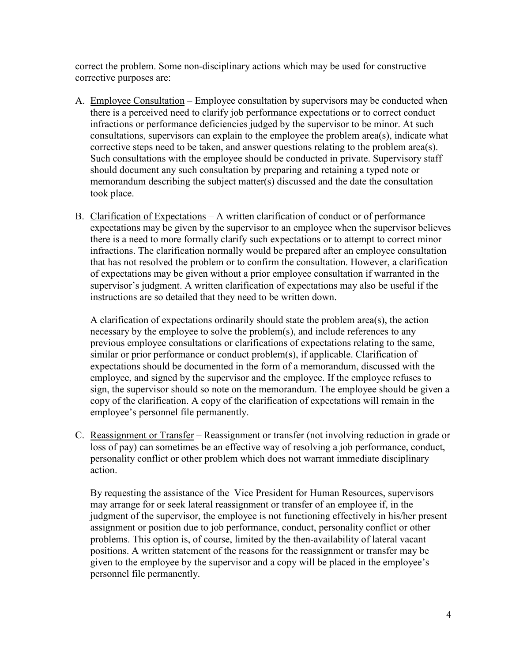correct the problem. Some non-disciplinary actions which may be used for constructive corrective purposes are:

- A. Employee Consultation Employee consultation by supervisors may be conducted when there is a perceived need to clarify job performance expectations or to correct conduct infractions or performance deficiencies judged by the supervisor to be minor. At such consultations, supervisors can explain to the employee the problem area(s), indicate what corrective steps need to be taken, and answer questions relating to the problem area(s). Such consultations with the employee should be conducted in private. Supervisory staff should document any such consultation by preparing and retaining a typed note or memorandum describing the subject matter(s) discussed and the date the consultation took place.
- B. Clarification of Expectations A written clarification of conduct or of performance expectations may be given by the supervisor to an employee when the supervisor believes there is a need to more formally clarify such expectations or to attempt to correct minor infractions. The clarification normally would be prepared after an employee consultation that has not resolved the problem or to confirm the consultation. However, a clarification of expectations may be given without a prior employee consultation if warranted in the supervisor's judgment. A written clarification of expectations may also be useful if the instructions are so detailed that they need to be written down.

A clarification of expectations ordinarily should state the problem area(s), the action necessary by the employee to solve the problem(s), and include references to any previous employee consultations or clarifications of expectations relating to the same, similar or prior performance or conduct problem(s), if applicable. Clarification of expectations should be documented in the form of a memorandum, discussed with the employee, and signed by the supervisor and the employee. If the employee refuses to sign, the supervisor should so note on the memorandum. The employee should be given a copy of the clarification. A copy of the clarification of expectations will remain in the employee's personnel file permanently.

C. Reassignment or Transfer – Reassignment or transfer (not involving reduction in grade or loss of pay) can sometimes be an effective way of resolving a job performance, conduct, personality conflict or other problem which does not warrant immediate disciplinary action.

By requesting the assistance of the Vice President for Human Resources, supervisors may arrange for or seek lateral reassignment or transfer of an employee if, in the judgment of the supervisor, the employee is not functioning effectively in his/her present assignment or position due to job performance, conduct, personality conflict or other problems. This option is, of course, limited by the then-availability of lateral vacant positions. A written statement of the reasons for the reassignment or transfer may be given to the employee by the supervisor and a copy will be placed in the employee's personnel file permanently.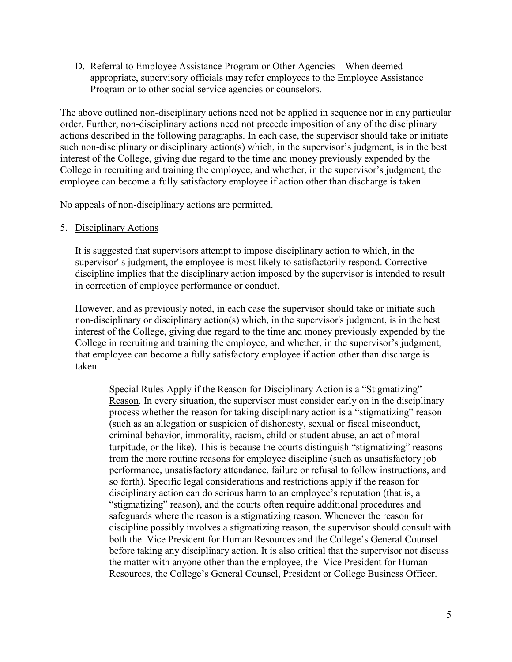D. Referral to Employee Assistance Program or Other Agencies – When deemed appropriate, supervisory officials may refer employees to the Employee Assistance Program or to other social service agencies or counselors.

The above outlined non-disciplinary actions need not be applied in sequence nor in any particular order. Further, non-disciplinary actions need not precede imposition of any of the disciplinary actions described in the following paragraphs. In each case, the supervisor should take or initiate such non-disciplinary or disciplinary action(s) which, in the supervisor's judgment, is in the best interest of the College, giving due regard to the time and money previously expended by the College in recruiting and training the employee, and whether, in the supervisor's judgment, the employee can become a fully satisfactory employee if action other than discharge is taken.

No appeals of non-disciplinary actions are permitted.

### 5. Disciplinary Actions

It is suggested that supervisors attempt to impose disciplinary action to which, in the supervisor' s judgment, the employee is most likely to satisfactorily respond. Corrective discipline implies that the disciplinary action imposed by the supervisor is intended to result in correction of employee performance or conduct.

However, and as previously noted, in each case the supervisor should take or initiate such non-disciplinary or disciplinary action(s) which, in the supervisor's judgment, is in the best interest of the College, giving due regard to the time and money previously expended by the College in recruiting and training the employee, and whether, in the supervisor's judgment, that employee can become a fully satisfactory employee if action other than discharge is taken.

Special Rules Apply if the Reason for Disciplinary Action is a "Stigmatizing" Reason. In every situation, the supervisor must consider early on in the disciplinary process whether the reason for taking disciplinary action is a "stigmatizing" reason (such as an allegation or suspicion of dishonesty, sexual or fiscal misconduct, criminal behavior, immorality, racism, child or student abuse, an act of moral turpitude, or the like). This is because the courts distinguish "stigmatizing" reasons from the more routine reasons for employee discipline (such as unsatisfactory job performance, unsatisfactory attendance, failure or refusal to follow instructions, and so forth). Specific legal considerations and restrictions apply if the reason for disciplinary action can do serious harm to an employee's reputation (that is, a "stigmatizing" reason), and the courts often require additional procedures and safeguards where the reason is a stigmatizing reason. Whenever the reason for discipline possibly involves a stigmatizing reason, the supervisor should consult with both the Vice President for Human Resources and the College's General Counsel before taking any disciplinary action. It is also critical that the supervisor not discuss the matter with anyone other than the employee, the Vice President for Human Resources, the College's General Counsel, President or College Business Officer.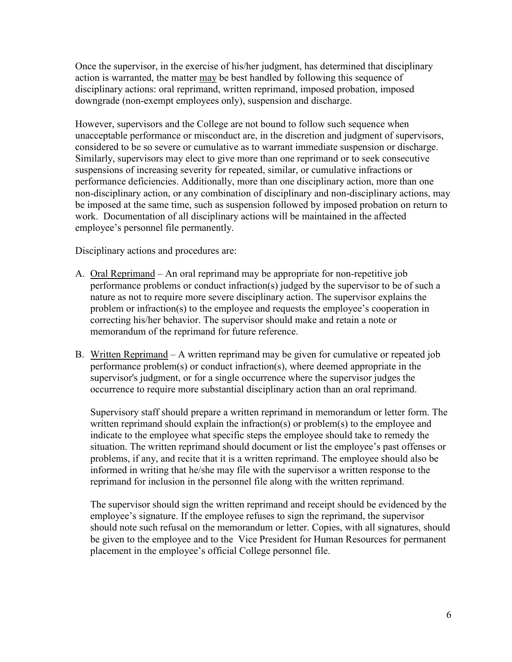Once the supervisor, in the exercise of his/her judgment, has determined that disciplinary action is warranted, the matter may be best handled by following this sequence of disciplinary actions: oral reprimand, written reprimand, imposed probation, imposed downgrade (non-exempt employees only), suspension and discharge.

However, supervisors and the College are not bound to follow such sequence when unacceptable performance or misconduct are, in the discretion and judgment of supervisors, considered to be so severe or cumulative as to warrant immediate suspension or discharge. Similarly, supervisors may elect to give more than one reprimand or to seek consecutive suspensions of increasing severity for repeated, similar, or cumulative infractions or performance deficiencies. Additionally, more than one disciplinary action, more than one non-disciplinary action, or any combination of disciplinary and non-disciplinary actions, may be imposed at the same time, such as suspension followed by imposed probation on return to work. Documentation of all disciplinary actions will be maintained in the affected employee's personnel file permanently.

Disciplinary actions and procedures are:

- A. Oral Reprimand An oral reprimand may be appropriate for non-repetitive job performance problems or conduct infraction(s) judged by the supervisor to be of such a nature as not to require more severe disciplinary action. The supervisor explains the problem or infraction(s) to the employee and requests the employee's cooperation in correcting his/her behavior. The supervisor should make and retain a note or memorandum of the reprimand for future reference.
- B. Written Reprimand A written reprimand may be given for cumulative or repeated job performance problem(s) or conduct infraction(s), where deemed appropriate in the supervisor's judgment, or for a single occurrence where the supervisor judges the occurrence to require more substantial disciplinary action than an oral reprimand.

Supervisory staff should prepare a written reprimand in memorandum or letter form. The written reprimand should explain the infraction(s) or problem(s) to the employee and indicate to the employee what specific steps the employee should take to remedy the situation. The written reprimand should document or list the employee's past offenses or problems, if any, and recite that it is a written reprimand. The employee should also be informed in writing that he/she may file with the supervisor a written response to the reprimand for inclusion in the personnel file along with the written reprimand.

The supervisor should sign the written reprimand and receipt should be evidenced by the employee's signature. If the employee refuses to sign the reprimand, the supervisor should note such refusal on the memorandum or letter. Copies, with all signatures, should be given to the employee and to the Vice President for Human Resources for permanent placement in the employee's official College personnel file.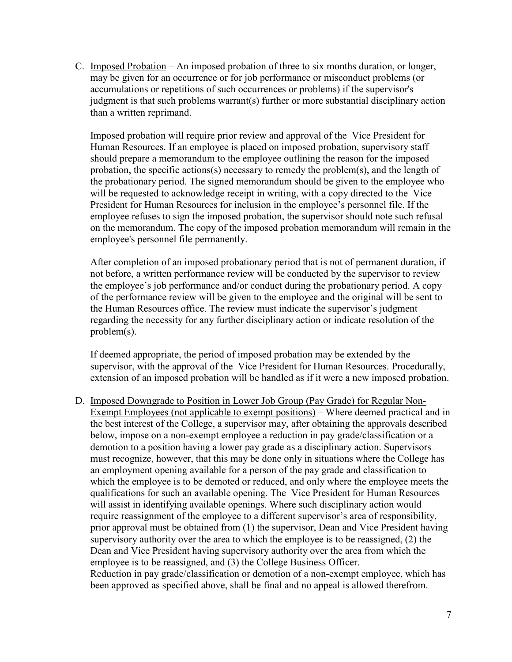C. Imposed Probation – An imposed probation of three to six months duration, or longer, may be given for an occurrence or for job performance or misconduct problems (or accumulations or repetitions of such occurrences or problems) if the supervisor's judgment is that such problems warrant(s) further or more substantial disciplinary action than a written reprimand.

Imposed probation will require prior review and approval of the Vice President for Human Resources. If an employee is placed on imposed probation, supervisory staff should prepare a memorandum to the employee outlining the reason for the imposed probation, the specific actions(s) necessary to remedy the problem(s), and the length of the probationary period. The signed memorandum should be given to the employee who will be requested to acknowledge receipt in writing, with a copy directed to the Vice President for Human Resources for inclusion in the employee's personnel file. If the employee refuses to sign the imposed probation, the supervisor should note such refusal on the memorandum. The copy of the imposed probation memorandum will remain in the employee's personnel file permanently.

After completion of an imposed probationary period that is not of permanent duration, if not before, a written performance review will be conducted by the supervisor to review the employee's job performance and/or conduct during the probationary period. A copy of the performance review will be given to the employee and the original will be sent to the Human Resources office. The review must indicate the supervisor's judgment regarding the necessity for any further disciplinary action or indicate resolution of the problem(s).

If deemed appropriate, the period of imposed probation may be extended by the supervisor, with the approval of the Vice President for Human Resources. Procedurally, extension of an imposed probation will be handled as if it were a new imposed probation.

D. Imposed Downgrade to Position in Lower Job Group (Pay Grade) for Regular Non-Exempt Employees (not applicable to exempt positions) – Where deemed practical and in the best interest of the College, a supervisor may, after obtaining the approvals described below, impose on a non-exempt employee a reduction in pay grade/classification or a demotion to a position having a lower pay grade as a disciplinary action. Supervisors must recognize, however, that this may be done only in situations where the College has an employment opening available for a person of the pay grade and classification to which the employee is to be demoted or reduced, and only where the employee meets the qualifications for such an available opening. The Vice President for Human Resources will assist in identifying available openings. Where such disciplinary action would require reassignment of the employee to a different supervisor's area of responsibility, prior approval must be obtained from (1) the supervisor, Dean and Vice President having supervisory authority over the area to which the employee is to be reassigned, (2) the Dean and Vice President having supervisory authority over the area from which the employee is to be reassigned, and (3) the College Business Officer. Reduction in pay grade/classification or demotion of a non-exempt employee, which has been approved as specified above, shall be final and no appeal is allowed therefrom.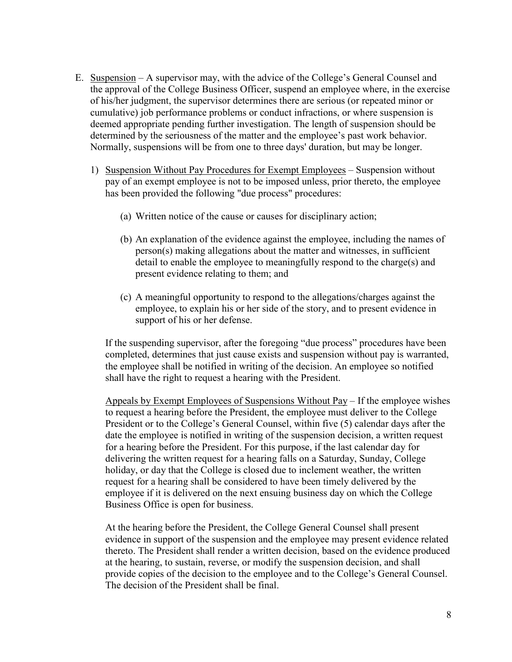- E. Suspension A supervisor may, with the advice of the College's General Counsel and the approval of the College Business Officer, suspend an employee where, in the exercise of his/her judgment, the supervisor determines there are serious (or repeated minor or cumulative) job performance problems or conduct infractions, or where suspension is deemed appropriate pending further investigation. The length of suspension should be determined by the seriousness of the matter and the employee's past work behavior. Normally, suspensions will be from one to three days' duration, but may be longer.
	- 1) Suspension Without Pay Procedures for Exempt Employees Suspension without pay of an exempt employee is not to be imposed unless, prior thereto, the employee has been provided the following "due process" procedures:
		- (a) Written notice of the cause or causes for disciplinary action;
		- (b) An explanation of the evidence against the employee, including the names of person(s) making allegations about the matter and witnesses, in sufficient detail to enable the employee to meaningfully respond to the charge(s) and present evidence relating to them; and
		- (c) A meaningful opportunity to respond to the allegations/charges against the employee, to explain his or her side of the story, and to present evidence in support of his or her defense.

If the suspending supervisor, after the foregoing "due process" procedures have been completed, determines that just cause exists and suspension without pay is warranted, the employee shall be notified in writing of the decision. An employee so notified shall have the right to request a hearing with the President.

Appeals by Exempt Employees of Suspensions Without Pay – If the employee wishes to request a hearing before the President, the employee must deliver to the College President or to the College's General Counsel, within five (5) calendar days after the date the employee is notified in writing of the suspension decision, a written request for a hearing before the President. For this purpose, if the last calendar day for delivering the written request for a hearing falls on a Saturday, Sunday, College holiday, or day that the College is closed due to inclement weather, the written request for a hearing shall be considered to have been timely delivered by the employee if it is delivered on the next ensuing business day on which the College Business Office is open for business.

At the hearing before the President, the College General Counsel shall present evidence in support of the suspension and the employee may present evidence related thereto. The President shall render a written decision, based on the evidence produced at the hearing, to sustain, reverse, or modify the suspension decision, and shall provide copies of the decision to the employee and to the College's General Counsel. The decision of the President shall be final.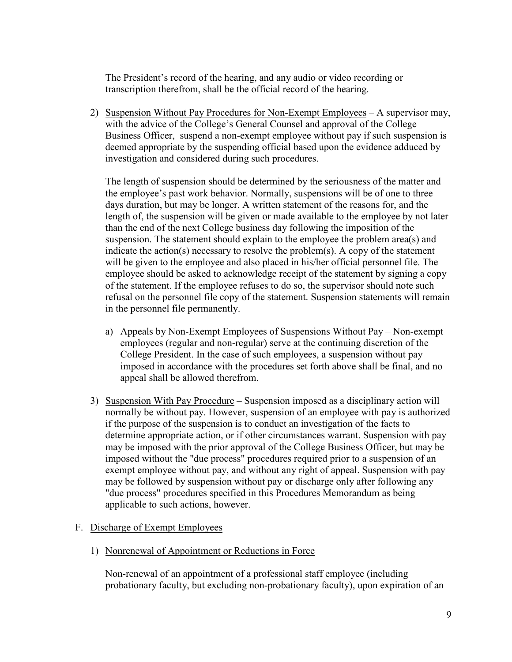The President's record of the hearing, and any audio or video recording or transcription therefrom, shall be the official record of the hearing.

2) Suspension Without Pay Procedures for Non-Exempt Employees – A supervisor may, with the advice of the College's General Counsel and approval of the College Business Officer, suspend a non-exempt employee without pay if such suspension is deemed appropriate by the suspending official based upon the evidence adduced by investigation and considered during such procedures.

The length of suspension should be determined by the seriousness of the matter and the employee's past work behavior. Normally, suspensions will be of one to three days duration, but may be longer. A written statement of the reasons for, and the length of, the suspension will be given or made available to the employee by not later than the end of the next College business day following the imposition of the suspension. The statement should explain to the employee the problem area(s) and indicate the action(s) necessary to resolve the problem(s). A copy of the statement will be given to the employee and also placed in his/her official personnel file. The employee should be asked to acknowledge receipt of the statement by signing a copy of the statement. If the employee refuses to do so, the supervisor should note such refusal on the personnel file copy of the statement. Suspension statements will remain in the personnel file permanently.

- a) Appeals by Non-Exempt Employees of Suspensions Without Pay Non-exempt employees (regular and non-regular) serve at the continuing discretion of the College President. In the case of such employees, a suspension without pay imposed in accordance with the procedures set forth above shall be final, and no appeal shall be allowed therefrom.
- 3) Suspension With Pay Procedure Suspension imposed as a disciplinary action will normally be without pay. However, suspension of an employee with pay is authorized if the purpose of the suspension is to conduct an investigation of the facts to determine appropriate action, or if other circumstances warrant. Suspension with pay may be imposed with the prior approval of the College Business Officer, but may be imposed without the "due process" procedures required prior to a suspension of an exempt employee without pay, and without any right of appeal. Suspension with pay may be followed by suspension without pay or discharge only after following any "due process" procedures specified in this Procedures Memorandum as being applicable to such actions, however.

#### F. Discharge of Exempt Employees

1) Nonrenewal of Appointment or Reductions in Force

Non-renewal of an appointment of a professional staff employee (including probationary faculty, but excluding non-probationary faculty), upon expiration of an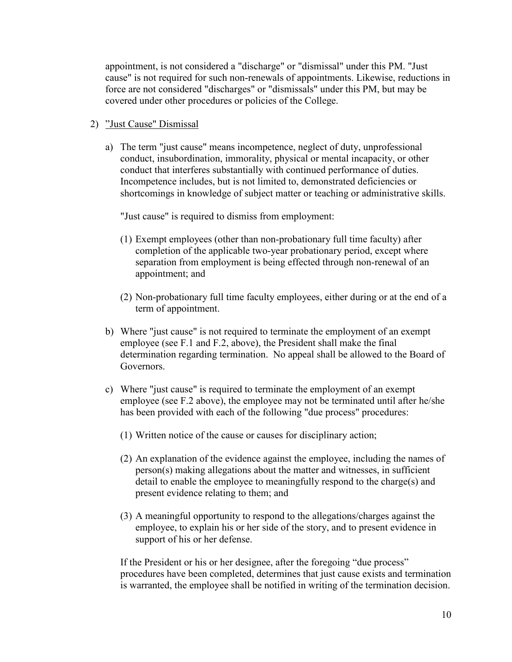appointment, is not considered a "discharge" or "dismissal" under this PM. "Just cause" is not required for such non-renewals of appointments. Likewise, reductions in force are not considered "discharges" or "dismissals" under this PM, but may be covered under other procedures or policies of the College.

- 2) "Just Cause" Dismissal
	- a) The term "just cause" means incompetence, neglect of duty, unprofessional conduct, insubordination, immorality, physical or mental incapacity, or other conduct that interferes substantially with continued performance of duties. Incompetence includes, but is not limited to, demonstrated deficiencies or shortcomings in knowledge of subject matter or teaching or administrative skills.

"Just cause" is required to dismiss from employment:

- (1) Exempt employees (other than non-probationary full time faculty) after completion of the applicable two-year probationary period, except where separation from employment is being effected through non-renewal of an appointment; and
- (2) Non-probationary full time faculty employees, either during or at the end of a term of appointment.
- b) Where "just cause" is not required to terminate the employment of an exempt employee (see F.1 and F.2, above), the President shall make the final determination regarding termination. No appeal shall be allowed to the Board of Governors.
- c) Where "just cause" is required to terminate the employment of an exempt employee (see F.2 above), the employee may not be terminated until after he/she has been provided with each of the following "due process" procedures:
	- (1) Written notice of the cause or causes for disciplinary action;
	- (2) An explanation of the evidence against the employee, including the names of person(s) making allegations about the matter and witnesses, in sufficient detail to enable the employee to meaningfully respond to the charge(s) and present evidence relating to them; and
	- (3) A meaningful opportunity to respond to the allegations/charges against the employee, to explain his or her side of the story, and to present evidence in support of his or her defense.

If the President or his or her designee, after the foregoing "due process" procedures have been completed, determines that just cause exists and termination is warranted, the employee shall be notified in writing of the termination decision.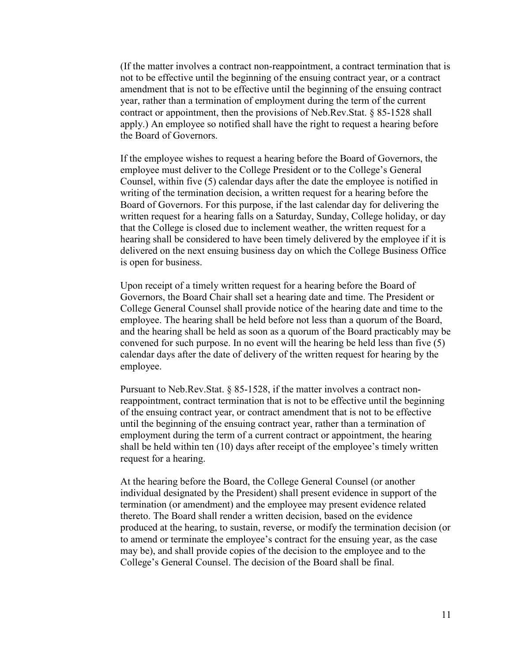(If the matter involves a contract non-reappointment, a contract termination that is not to be effective until the beginning of the ensuing contract year, or a contract amendment that is not to be effective until the beginning of the ensuing contract year, rather than a termination of employment during the term of the current contract or appointment, then the provisions of Neb.Rev.Stat. § 85-1528 shall apply.) An employee so notified shall have the right to request a hearing before the Board of Governors.

If the employee wishes to request a hearing before the Board of Governors, the employee must deliver to the College President or to the College's General Counsel, within five (5) calendar days after the date the employee is notified in writing of the termination decision, a written request for a hearing before the Board of Governors. For this purpose, if the last calendar day for delivering the written request for a hearing falls on a Saturday, Sunday, College holiday, or day that the College is closed due to inclement weather, the written request for a hearing shall be considered to have been timely delivered by the employee if it is delivered on the next ensuing business day on which the College Business Office is open for business.

Upon receipt of a timely written request for a hearing before the Board of Governors, the Board Chair shall set a hearing date and time. The President or College General Counsel shall provide notice of the hearing date and time to the employee. The hearing shall be held before not less than a quorum of the Board, and the hearing shall be held as soon as a quorum of the Board practicably may be convened for such purpose. In no event will the hearing be held less than five (5) calendar days after the date of delivery of the written request for hearing by the employee.

Pursuant to Neb.Rev.Stat. § 85-1528, if the matter involves a contract nonreappointment, contract termination that is not to be effective until the beginning of the ensuing contract year, or contract amendment that is not to be effective until the beginning of the ensuing contract year, rather than a termination of employment during the term of a current contract or appointment, the hearing shall be held within ten (10) days after receipt of the employee's timely written request for a hearing.

At the hearing before the Board, the College General Counsel (or another individual designated by the President) shall present evidence in support of the termination (or amendment) and the employee may present evidence related thereto. The Board shall render a written decision, based on the evidence produced at the hearing, to sustain, reverse, or modify the termination decision (or to amend or terminate the employee's contract for the ensuing year, as the case may be), and shall provide copies of the decision to the employee and to the College's General Counsel. The decision of the Board shall be final.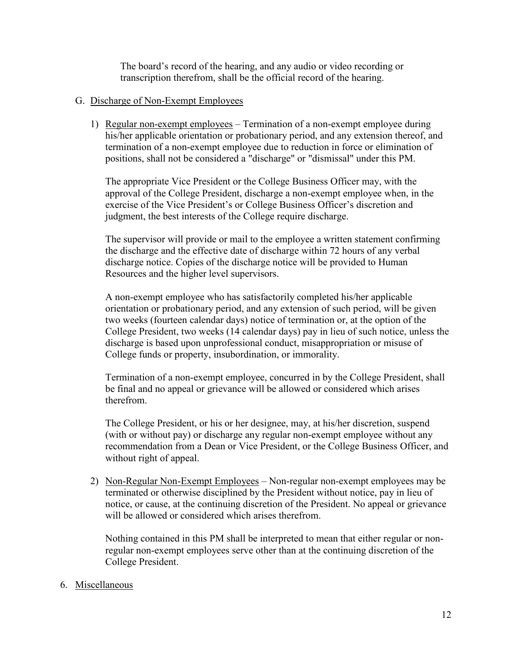The board's record of the hearing, and any audio or video recording or transcription therefrom, shall be the official record of the hearing.

### G. Discharge of Non-Exempt Employees

1) Regular non-exempt employees – Termination of a non-exempt employee during his/her applicable orientation or probationary period, and any extension thereof, and termination of a non-exempt employee due to reduction in force or elimination of positions, shall not be considered a "discharge" or "dismissal" under this PM.

The appropriate Vice President or the College Business Officer may, with the approval of the College President, discharge a non-exempt employee when, in the exercise of the Vice President's or College Business Officer's discretion and judgment, the best interests of the College require discharge.

The supervisor will provide or mail to the employee a written statement confirming the discharge and the effective date of discharge within 72 hours of any verbal discharge notice. Copies of the discharge notice will be provided to Human Resources and the higher level supervisors.

A non-exempt employee who has satisfactorily completed his/her applicable orientation or probationary period, and any extension of such period, will be given two weeks (fourteen calendar days) notice of termination or, at the option of the College President, two weeks (14 calendar days) pay in lieu of such notice, unless the discharge is based upon unprofessional conduct, misappropriation or misuse of College funds or property, insubordination, or immorality.

Termination of a non-exempt employee, concurred in by the College President, shall be final and no appeal or grievance will be allowed or considered which arises therefrom.

The College President, or his or her designee, may, at his/her discretion, suspend (with or without pay) or discharge any regular non-exempt employee without any recommendation from a Dean or Vice President, or the College Business Officer, and without right of appeal.

2) Non-Regular Non-Exempt Employees – Non-regular non-exempt employees may be terminated or otherwise disciplined by the President without notice, pay in lieu of notice, or cause, at the continuing discretion of the President. No appeal or grievance will be allowed or considered which arises therefrom.

Nothing contained in this PM shall be interpreted to mean that either regular or nonregular non-exempt employees serve other than at the continuing discretion of the College President.

## 6. Miscellaneous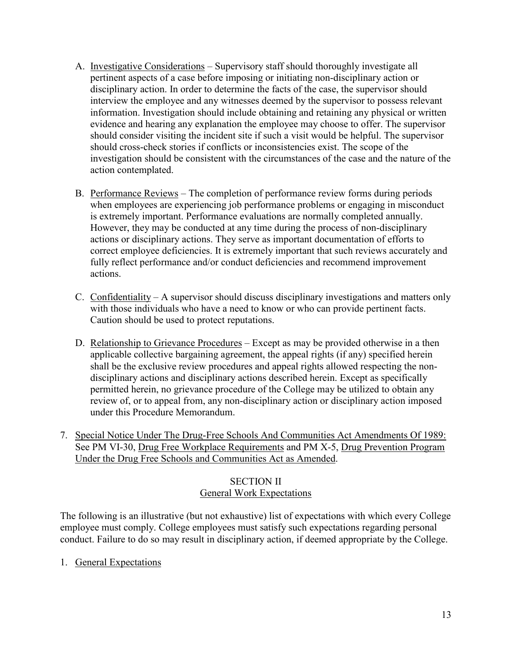- A. Investigative Considerations Supervisory staff should thoroughly investigate all pertinent aspects of a case before imposing or initiating non-disciplinary action or disciplinary action. In order to determine the facts of the case, the supervisor should interview the employee and any witnesses deemed by the supervisor to possess relevant information. Investigation should include obtaining and retaining any physical or written evidence and hearing any explanation the employee may choose to offer. The supervisor should consider visiting the incident site if such a visit would be helpful. The supervisor should cross-check stories if conflicts or inconsistencies exist. The scope of the investigation should be consistent with the circumstances of the case and the nature of the action contemplated.
- B. Performance Reviews The completion of performance review forms during periods when employees are experiencing job performance problems or engaging in misconduct is extremely important. Performance evaluations are normally completed annually. However, they may be conducted at any time during the process of non-disciplinary actions or disciplinary actions. They serve as important documentation of efforts to correct employee deficiencies. It is extremely important that such reviews accurately and fully reflect performance and/or conduct deficiencies and recommend improvement actions.
- C. Confidentiality A supervisor should discuss disciplinary investigations and matters only with those individuals who have a need to know or who can provide pertinent facts. Caution should be used to protect reputations.
- D. Relationship to Grievance Procedures Except as may be provided otherwise in a then applicable collective bargaining agreement, the appeal rights (if any) specified herein shall be the exclusive review procedures and appeal rights allowed respecting the nondisciplinary actions and disciplinary actions described herein. Except as specifically permitted herein, no grievance procedure of the College may be utilized to obtain any review of, or to appeal from, any non-disciplinary action or disciplinary action imposed under this Procedure Memorandum.
- 7. Special Notice Under The Drug-Free Schools And Communities Act Amendments Of 1989: See PM VI-30, [Drug Free Workplace Requirements](http://www.mccneb.edu/procedures/VI-30_Drug-Free_Workplace.htm) and PM X-5, [Drug Prevention Program](http://www.mccneb.edu/procedures/X-5_Drug_Prevention_Act.htm)  [Under the Drug Free Schools and Communities Act](http://www.mccneb.edu/procedures/X-5_Drug_Prevention_Act.htm) as Amended.

## SECTION II General Work Expectations

The following is an illustrative (but not exhaustive) list of expectations with which every College employee must comply. College employees must satisfy such expectations regarding personal conduct. Failure to do so may result in disciplinary action, if deemed appropriate by the College.

1. General Expectations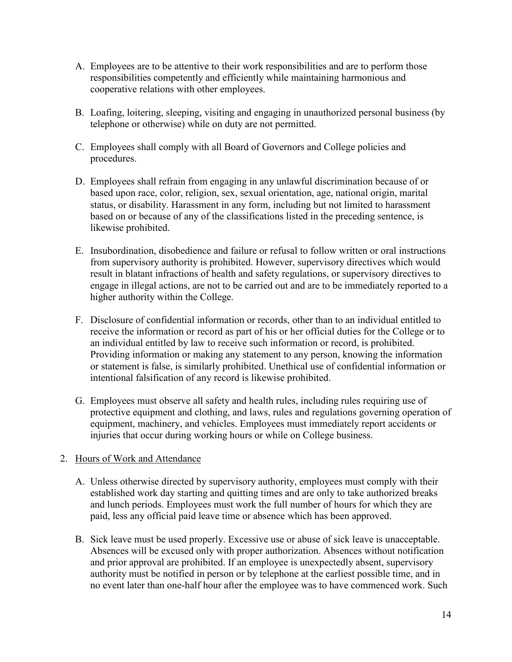- A. Employees are to be attentive to their work responsibilities and are to perform those responsibilities competently and efficiently while maintaining harmonious and cooperative relations with other employees.
- B. Loafing, loitering, sleeping, visiting and engaging in unauthorized personal business (by telephone or otherwise) while on duty are not permitted.
- C. Employees shall comply with all Board of Governors and College policies and procedures.
- D. Employees shall refrain from engaging in any unlawful discrimination because of or based upon race, color, religion, sex, sexual orientation, age, national origin, marital status, or disability. Harassment in any form, including but not limited to harassment based on or because of any of the classifications listed in the preceding sentence, is likewise prohibited.
- E. Insubordination, disobedience and failure or refusal to follow written or oral instructions from supervisory authority is prohibited. However, supervisory directives which would result in blatant infractions of health and safety regulations, or supervisory directives to engage in illegal actions, are not to be carried out and are to be immediately reported to a higher authority within the College.
- F. Disclosure of confidential information or records, other than to an individual entitled to receive the information or record as part of his or her official duties for the College or to an individual entitled by law to receive such information or record, is prohibited. Providing information or making any statement to any person, knowing the information or statement is false, is similarly prohibited. Unethical use of confidential information or intentional falsification of any record is likewise prohibited.
- G. Employees must observe all safety and health rules, including rules requiring use of protective equipment and clothing, and laws, rules and regulations governing operation of equipment, machinery, and vehicles. Employees must immediately report accidents or injuries that occur during working hours or while on College business.

## 2. Hours of Work and Attendance

- A. Unless otherwise directed by supervisory authority, employees must comply with their established work day starting and quitting times and are only to take authorized breaks and lunch periods. Employees must work the full number of hours for which they are paid, less any official paid leave time or absence which has been approved.
- B. Sick leave must be used properly. Excessive use or abuse of sick leave is unacceptable. Absences will be excused only with proper authorization. Absences without notification and prior approval are prohibited. If an employee is unexpectedly absent, supervisory authority must be notified in person or by telephone at the earliest possible time, and in no event later than one-half hour after the employee was to have commenced work. Such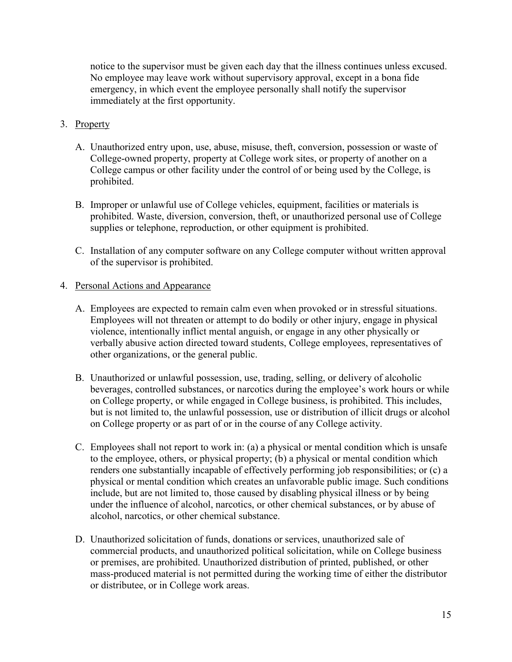notice to the supervisor must be given each day that the illness continues unless excused. No employee may leave work without supervisory approval, except in a bona fide emergency, in which event the employee personally shall notify the supervisor immediately at the first opportunity.

## 3. Property

- A. Unauthorized entry upon, use, abuse, misuse, theft, conversion, possession or waste of College-owned property, property at College work sites, or property of another on a College campus or other facility under the control of or being used by the College, is prohibited.
- B. Improper or unlawful use of College vehicles, equipment, facilities or materials is prohibited. Waste, diversion, conversion, theft, or unauthorized personal use of College supplies or telephone, reproduction, or other equipment is prohibited.
- C. Installation of any computer software on any College computer without written approval of the supervisor is prohibited.

# 4. Personal Actions and Appearance

- A. Employees are expected to remain calm even when provoked or in stressful situations. Employees will not threaten or attempt to do bodily or other injury, engage in physical violence, intentionally inflict mental anguish, or engage in any other physically or verbally abusive action directed toward students, College employees, representatives of other organizations, or the general public.
- B. Unauthorized or unlawful possession, use, trading, selling, or delivery of alcoholic beverages, controlled substances, or narcotics during the employee's work hours or while on College property, or while engaged in College business, is prohibited. This includes, but is not limited to, the unlawful possession, use or distribution of illicit drugs or alcohol on College property or as part of or in the course of any College activity.
- C. Employees shall not report to work in: (a) a physical or mental condition which is unsafe to the employee, others, or physical property; (b) a physical or mental condition which renders one substantially incapable of effectively performing job responsibilities; or (c) a physical or mental condition which creates an unfavorable public image. Such conditions include, but are not limited to, those caused by disabling physical illness or by being under the influence of alcohol, narcotics, or other chemical substances, or by abuse of alcohol, narcotics, or other chemical substance.
- D. Unauthorized solicitation of funds, donations or services, unauthorized sale of commercial products, and unauthorized political solicitation, while on College business or premises, are prohibited. Unauthorized distribution of printed, published, or other mass-produced material is not permitted during the working time of either the distributor or distributee, or in College work areas.